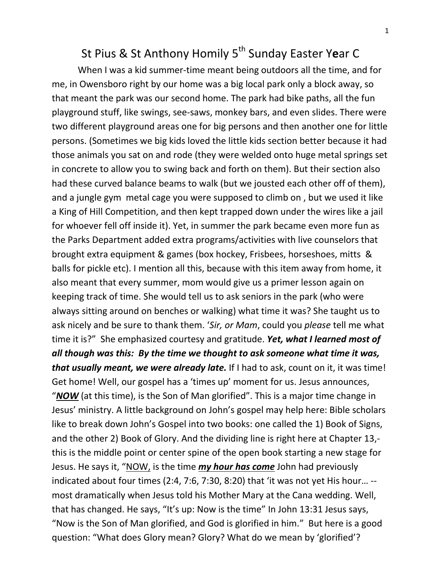## St Pius & St Anthony Homily 5<sup>th</sup> Sunday Easter Y**e**ar C

When I was a kid summer-time meant being outdoors all the time, and for me, in Owensboro right by our home was a big local park only a block away, so that meant the park was our second home. The park had bike paths, all the fun playground stuff, like swings, see-saws, monkey bars, and even slides. There were two different playground areas one for big persons and then another one for little persons. (Sometimes we big kids loved the little kids section better because it had those animals you sat on and rode (they were welded onto huge metal springs set in concrete to allow you to swing back and forth on them). But their section also had these curved balance beams to walk (but we jousted each other off of them), and a jungle gym metal cage you were supposed to climb on , but we used it like a King of Hill Competition, and then kept trapped down under the wires like a jail for whoever fell off inside it). Yet, in summer the park became even more fun as the Parks Department added extra programs/activities with live counselors that brought extra equipment & games (box hockey, Frisbees, horseshoes, mitts & balls for pickle etc). I mention all this, because with this item away from home, it also meant that every summer, mom would give us a primer lesson again on keeping track of time. She would tell us to ask seniors in the park (who were always sitting around on benches or walking) what time it was? She taught us to ask nicely and be sure to thank them. '*Sir, or Mam*, could you *please* tell me what time it is?" She emphasized courtesy and gratitude. *Yet, what I learned most of all though was this: By the time we thought to ask someone what time it was, that usually meant, we were already late.* If I had to ask, count on it, it was time! Get home! Well, our gospel has a 'times up' moment for us. Jesus announces, "*NOW* (at this time), is the Son of Man glorified". This is a major time change in Jesus' ministry. A little background on John's gospel may help here: Bible scholars like to break down John's Gospel into two books: one called the 1) Book of Signs, and the other 2) Book of Glory. And the dividing line is right here at Chapter 13, this is the middle point or center spine of the open book starting a new stage for Jesus. He says it, "NOW, is the time *my hour has come* John had previously indicated about four times (2:4, 7:6, 7:30, 8:20) that 'it was not yet His hour… - most dramatically when Jesus told his Mother Mary at the Cana wedding. Well, that has changed. He says, "It's up: Now is the time" In John 13:31 Jesus says, "Now is the Son of Man glorified, and God is glorified in him." But here is a good question: "What does Glory mean? Glory? What do we mean by 'glorified'?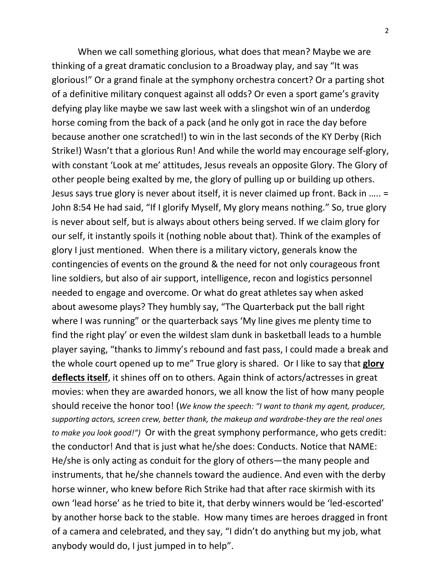When we call something glorious, what does that mean? Maybe we are thinking of a great dramatic conclusion to a Broadway play, and say "It was glorious!" Or a grand finale at the symphony orchestra concert? Or a parting shot of a definitive military conquest against all odds? Or even a sport game's gravity defying play like maybe we saw last week with a slingshot win of an underdog horse coming from the back of a pack (and he only got in race the day before because another one scratched!) to win in the last seconds of the KY Derby (Rich Strike!) Wasn't that a glorious Run! And while the world may encourage self-glory, with constant 'Look at me' attitudes, Jesus reveals an opposite Glory. The Glory of other people being exalted by me, the glory of pulling up or building up others. Jesus says true glory is never about itself, it is never claimed up front. Back in ….. = John 8:54 He had said, "If I glorify Myself, My glory means nothing." So, true glory is never about self, but is always about others being served. If we claim glory for our self, it instantly spoils it (nothing noble about that). Think of the examples of glory I just mentioned. When there is a military victory, generals know the contingencies of events on the ground & the need for not only courageous front line soldiers, but also of air support, intelligence, recon and logistics personnel needed to engage and overcome. Or what do great athletes say when asked about awesome plays? They humbly say, "The Quarterback put the ball right where I was running" or the quarterback says 'My line gives me plenty time to find the right play' or even the wildest slam dunk in basketball leads to a humble player saying, "thanks to Jimmy's rebound and fast pass, I could made a break and the whole court opened up to me" True glory is shared. Or I like to say that **glory deflects itself**, it shines off on to others. Again think of actors/actresses in great movies: when they are awarded honors, we all know the list of how many people should receive the honor too! (*We know the speech: "I want to thank my agent, producer, supporting actors, screen crew, better thank, the makeup and wardrobe-they are the real ones to make you look good!")* Or with the great symphony performance, who gets credit: the conductor! And that is just what he/she does: Conducts. Notice that NAME: He/she is only acting as conduit for the glory of others—the many people and instruments, that he/she channels toward the audience. And even with the derby horse winner, who knew before Rich Strike had that after race skirmish with its own 'lead horse' as he tried to bite it, that derby winners would be 'led-escorted' by another horse back to the stable. How many times are heroes dragged in front of a camera and celebrated, and they say, "I didn't do anything but my job, what anybody would do, I just jumped in to help".